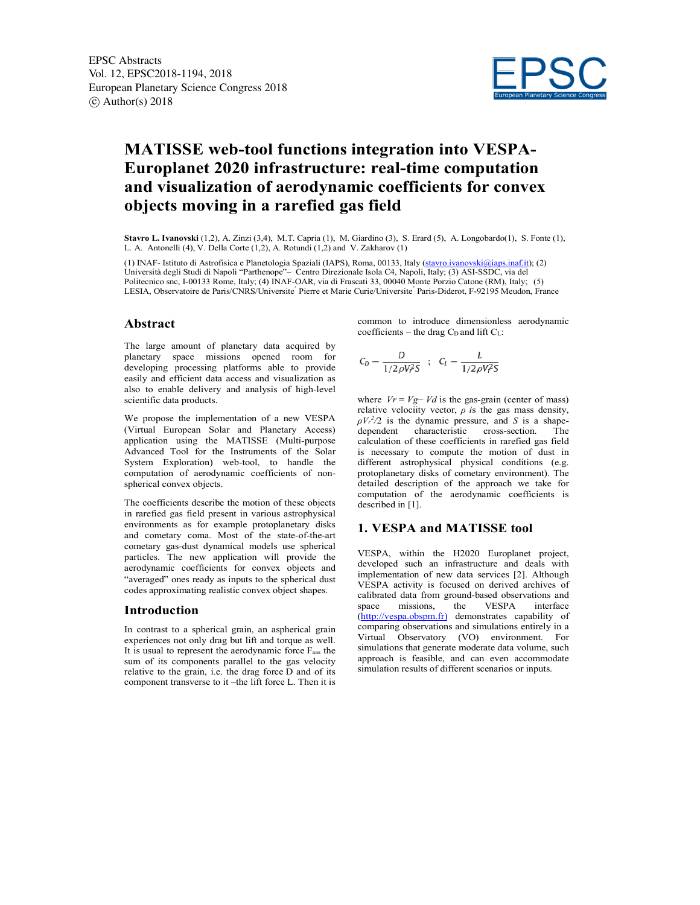

# **MATISSE web-tool functions integration into VESPA-Europlanet 2020 infrastructure: real-time computation and visualization of aerodynamic coefficients for convex objects moving in a rarefied gas field**

**Stavro L. Ivanovski** (1,2), A. Zinzi (3,4), M.T. Capria (1), M. Giardino (3), S. Erard (5), A. Longobardo(1), S. Fonte (1), L. A. Antonelli (4), V. Della Corte  $(1,2)$ , A. Rotundi  $(1,2)$  and V. Zakharov  $(1)$ 

(1) INAF- Istituto di Astrofisica e Planetologia Spaziali (IAPS), Roma, 00133, Italy (stavro.ivanovski@iaps.inaf.it); (2) Università degli Studi di Napoli "Parthenope"– Centro Direzionale Isola C4, Napoli, Italy; (3) ASI-SSDC, via del Politecnico snc, I-00133 Rome, Italy; (4) INAF-OAR, via di Frascati 33, 00040 Monte Porzio Catone (RM), Italy; (5) LESIA, Observatoire de Paris/CNRS/Universite <sup>*Pierre et Marie Curie/Universite* <sup>*Paris-Diderot, F-92195 Meudon, France*</sup></sup>

### **Abstract**

The large amount of planetary data acquired by planetary space missions opened room for developing processing platforms able to provide easily and efficient data access and visualization as also to enable delivery and analysis of high-level scientific data products.

We propose the implementation of a new VESPA (Virtual European Solar and Planetary Access) application using the MATISSE (Multi-purpose Advanced Tool for the Instruments of the Solar System Exploration) web-tool, to handle the computation of aerodynamic coefficients of nonspherical convex objects.

The coefficients describe the motion of these objects in rarefied gas field present in various astrophysical environments as for example protoplanetary disks and cometary coma. Most of the state-of-the-art cometary gas-dust dynamical models use spherical particles. The new application will provide the aerodynamic coefficients for convex objects and "averaged" ones ready as inputs to the spherical dust codes approximating realistic convex object shapes.

### **Introduction**

In contrast to a spherical grain, an aspherical grain experiences not only drag but lift and torque as well. It is usual to represent the aerodynamic force Faas the sum of its components parallel to the gas velocity relative to the grain, i.e. the drag force D and of its component transverse to it –the lift force L. Then it is

common to introduce dimensionless aerodynamic  $coefficients - the drag C<sub>D</sub> and lift C<sub>L</sub>:$ 

$$
C_D = \frac{D}{1/2\rho V_f^2 S} \ ; \ C_L = \frac{L}{1/2\rho V_f^2 S}
$$

where  $V = Vg - Vd$  is the gas-grain (center of mass) relative velociity vector, *ρ i*s the gas mass density,  $\rho V_r^2/2$  is the dynamic pressure, and *S* is a shapedependent characteristic cross-section. The calculation of these coefficients in rarefied gas field is necessary to compute the motion of dust in different astrophysical physical conditions (e.g. protoplanetary disks of cometary environment). The detailed description of the approach we take for computation of the aerodynamic coefficients is described in [1].

### **1. VESPA and MATISSE tool**

VESPA, within the H2020 Europlanet project, developed such an infrastructure and deals with implementation of new data services [2]. Although VESPA activity is focused on derived archives of calibrated data from ground-based observations and<br>space missions, the VESPA interface space missions, the VESPA interface (http://vespa.obspm.fr) demonstrates capability of comparing observations and simulations entirely in a Virtual Observatory (VO) environment. For simulations that generate moderate data volume, such approach is feasible, and can even accommodate simulation results of different scenarios or inputs.